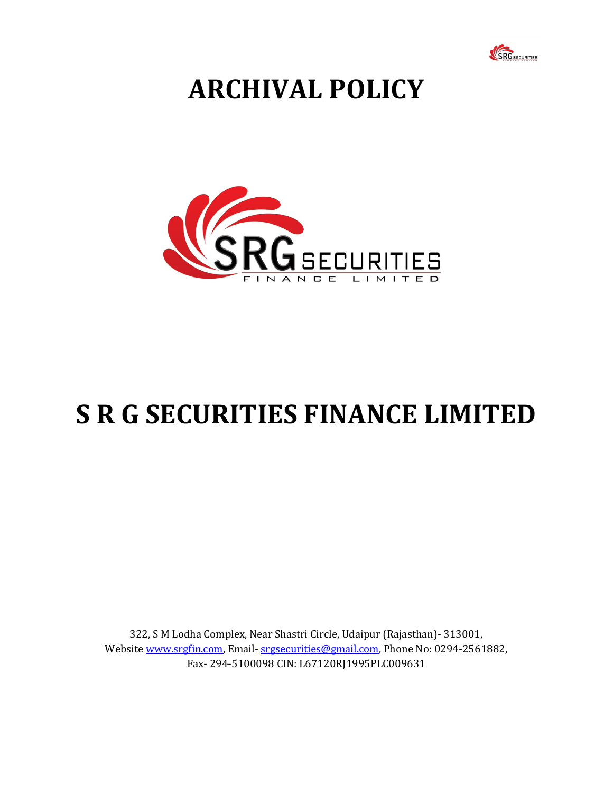

## **ARCHIVAL POLICY**



## **S R G SECURITIES FINANCE LIMITED**

322, S M Lodha Complex, Near Shastri Circle, Udaipur (Rajasthan)- 313001, Website www.srgfin.com, Email-srgsecurities@gmail.com, Phone No: 0294-2561882, Fax- 294-5100098 CIN: L67120RJ1995PLC009631